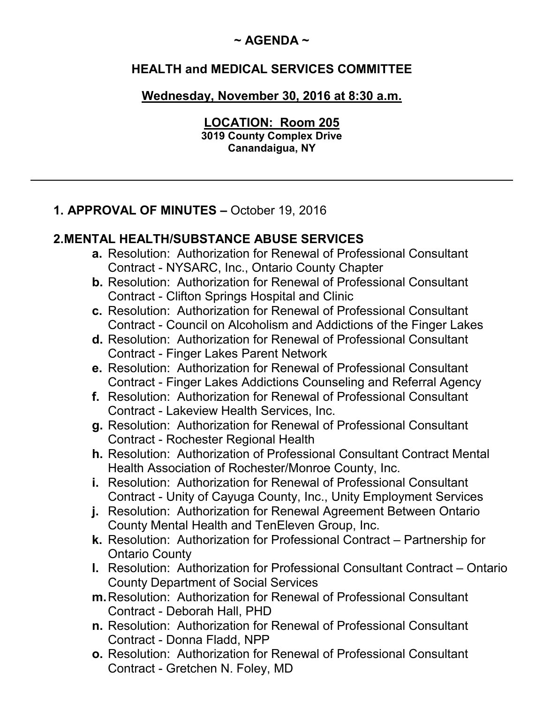# $\sim$  AGENDA  $\sim$

### HEALTH and MEDICAL SERVICES COMMITTEE

### Wednesday, November 30, 2016 at 8:30 a.m.

### LOCATION: Room 205

3019 County Complex Drive Canandaigua, NY

# 1. APPROVAL OF MINUTES – October 19, 2016

# 2.MENTAL HEALTH/SUBSTANCE ABUSE SERVICES

- a. Resolution: Authorization for Renewal of Professional Consultant Contract - NYSARC, Inc., Ontario County Chapter
- b. Resolution: Authorization for Renewal of Professional Consultant Contract - Clifton Springs Hospital and Clinic
- c. Resolution: Authorization for Renewal of Professional Consultant Contract - Council on Alcoholism and Addictions of the Finger Lakes
- d. Resolution: Authorization for Renewal of Professional Consultant Contract - Finger Lakes Parent Network
- e. Resolution: Authorization for Renewal of Professional Consultant Contract - Finger Lakes Addictions Counseling and Referral Agency
- f. Resolution: Authorization for Renewal of Professional Consultant Contract - Lakeview Health Services, Inc.
- g. Resolution: Authorization for Renewal of Professional Consultant Contract - Rochester Regional Health
- h. Resolution: Authorization of Professional Consultant Contract Mental Health Association of Rochester/Monroe County, Inc.
- i. Resolution: Authorization for Renewal of Professional Consultant Contract - Unity of Cayuga County, Inc., Unity Employment Services
- j. Resolution: Authorization for Renewal Agreement Between Ontario County Mental Health and TenEleven Group, Inc.
- k. Resolution: Authorization for Professional Contract Partnership for Ontario County
- l. Resolution: Authorization for Professional Consultant Contract Ontario County Department of Social Services
- m.Resolution: Authorization for Renewal of Professional Consultant Contract - Deborah Hall, PHD
- n. Resolution: Authorization for Renewal of Professional Consultant Contract - Donna Fladd, NPP
- o. Resolution: Authorization for Renewal of Professional Consultant Contract - Gretchen N. Foley, MD